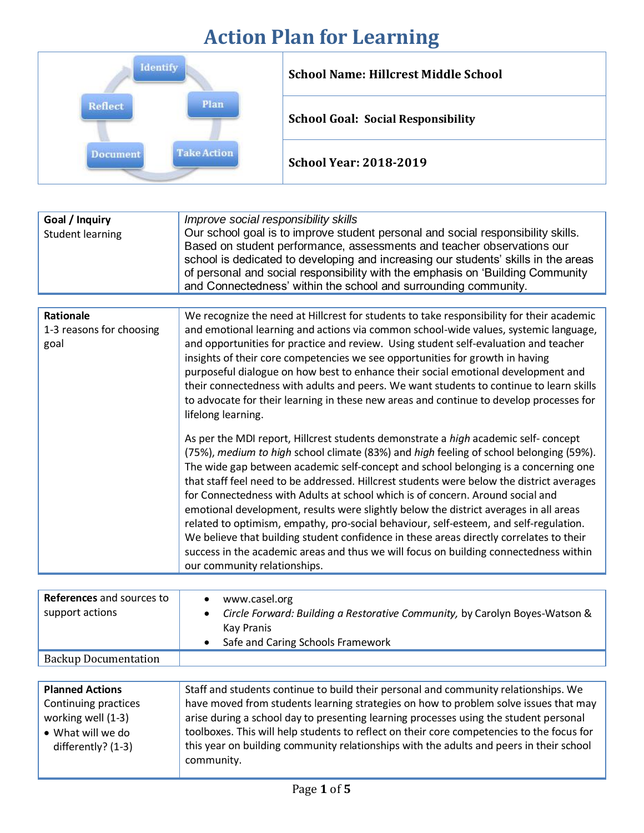## **Action Plan for Learning**

| Identify                      | <b>School Name: Hillcrest Middle School</b> |
|-------------------------------|---------------------------------------------|
| Plan<br>Reflect               | <b>School Goal: Social Responsibility</b>   |
| <b>Take Action</b><br>ocument | <b>School Year: 2018-2019</b>               |

| Goal / Inquiry<br><b>Student learning</b>            | Improve social responsibility skills<br>Our school goal is to improve student personal and social responsibility skills.<br>Based on student performance, assessments and teacher observations our<br>school is dedicated to developing and increasing our students' skills in the areas<br>of personal and social responsibility with the emphasis on 'Building Community<br>and Connectedness' within the school and surrounding community.                                                                                                                                                                                                                                                                                                                                                                                                             |
|------------------------------------------------------|-----------------------------------------------------------------------------------------------------------------------------------------------------------------------------------------------------------------------------------------------------------------------------------------------------------------------------------------------------------------------------------------------------------------------------------------------------------------------------------------------------------------------------------------------------------------------------------------------------------------------------------------------------------------------------------------------------------------------------------------------------------------------------------------------------------------------------------------------------------|
|                                                      |                                                                                                                                                                                                                                                                                                                                                                                                                                                                                                                                                                                                                                                                                                                                                                                                                                                           |
| <b>Rationale</b><br>1-3 reasons for choosing<br>goal | We recognize the need at Hillcrest for students to take responsibility for their academic<br>and emotional learning and actions via common school-wide values, systemic language,<br>and opportunities for practice and review. Using student self-evaluation and teacher<br>insights of their core competencies we see opportunities for growth in having<br>purposeful dialogue on how best to enhance their social emotional development and<br>their connectedness with adults and peers. We want students to continue to learn skills<br>to advocate for their learning in these new areas and continue to develop processes for<br>lifelong learning.                                                                                                                                                                                               |
|                                                      | As per the MDI report, Hillcrest students demonstrate a high academic self- concept<br>(75%), medium to high school climate (83%) and high feeling of school belonging (59%).<br>The wide gap between academic self-concept and school belonging is a concerning one<br>that staff feel need to be addressed. Hillcrest students were below the district averages<br>for Connectedness with Adults at school which is of concern. Around social and<br>emotional development, results were slightly below the district averages in all areas<br>related to optimism, empathy, pro-social behaviour, self-esteem, and self-regulation.<br>We believe that building student confidence in these areas directly correlates to their<br>success in the academic areas and thus we will focus on building connectedness within<br>our community relationships. |

| <b>References</b> and sources to<br>support actions | www.casel.org<br>Circle Forward: Building a Restorative Community, by Carolyn Boyes-Watson &<br>Kay Pranis<br>Safe and Caring Schools Framework |
|-----------------------------------------------------|-------------------------------------------------------------------------------------------------------------------------------------------------|
| <b>Backup Documentation</b>                         |                                                                                                                                                 |

| <b>Planned Actions</b> | Staff and students continue to build their personal and community relationships. We       |
|------------------------|-------------------------------------------------------------------------------------------|
| Continuing practices   | have moved from students learning strategies on how to problem solve issues that may      |
| working well (1-3)     | arise during a school day to presenting learning processes using the student personal     |
| • What will we do      | toolboxes. This will help students to reflect on their core competencies to the focus for |
| differently? (1-3)     | this year on building community relationships with the adults and peers in their school   |
|                        | community.                                                                                |
|                        |                                                                                           |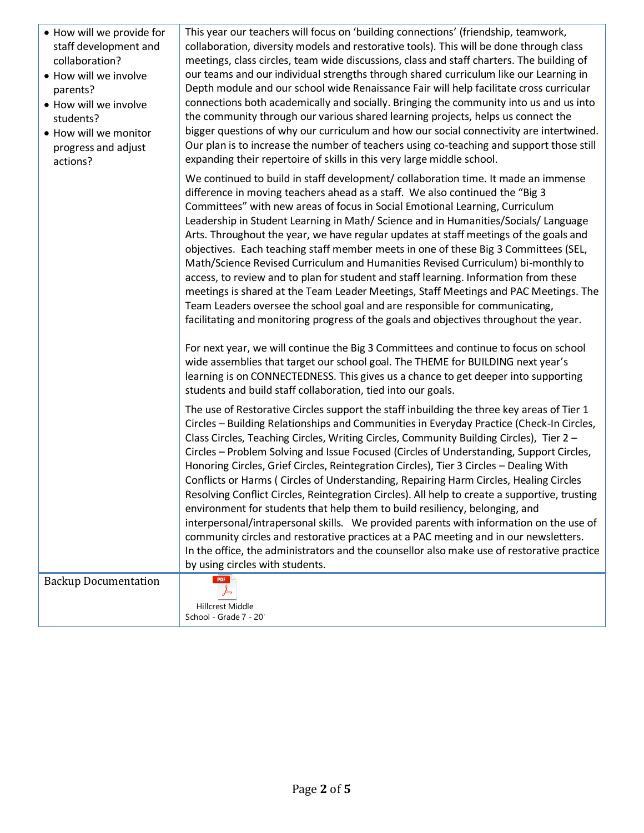| • How will we provide for<br>staff development and<br>collaboration?<br>• How will we involve<br>parents?<br>• How will we involve<br>students?<br>• How will we monitor<br>progress and adjust<br>actions? | This year our teachers will focus on 'building connections' (friendship, teamwork,<br>collaboration, diversity models and restorative tools). This will be done through class<br>meetings, class circles, team wide discussions, class and staff charters. The building of<br>our teams and our individual strengths through shared curriculum like our Learning in<br>Depth module and our school wide Renaissance Fair will help facilitate cross curricular<br>connections both academically and socially. Bringing the community into us and us into<br>the community through our various shared learning projects, helps us connect the<br>bigger questions of why our curriculum and how our social connectivity are intertwined.<br>Our plan is to increase the number of teachers using co-teaching and support those still<br>expanding their repertoire of skills in this very large middle school.                                                                                                                                                     |
|-------------------------------------------------------------------------------------------------------------------------------------------------------------------------------------------------------------|-------------------------------------------------------------------------------------------------------------------------------------------------------------------------------------------------------------------------------------------------------------------------------------------------------------------------------------------------------------------------------------------------------------------------------------------------------------------------------------------------------------------------------------------------------------------------------------------------------------------------------------------------------------------------------------------------------------------------------------------------------------------------------------------------------------------------------------------------------------------------------------------------------------------------------------------------------------------------------------------------------------------------------------------------------------------|
|                                                                                                                                                                                                             | We continued to build in staff development/ collaboration time. It made an immense<br>difference in moving teachers ahead as a staff. We also continued the "Big 3<br>Committees" with new areas of focus in Social Emotional Learning, Curriculum<br>Leadership in Student Learning in Math/ Science and in Humanities/Socials/ Language<br>Arts. Throughout the year, we have regular updates at staff meetings of the goals and<br>objectives. Each teaching staff member meets in one of these Big 3 Committees (SEL,<br>Math/Science Revised Curriculum and Humanities Revised Curriculum) bi-monthly to<br>access, to review and to plan for student and staff learning. Information from these<br>meetings is shared at the Team Leader Meetings, Staff Meetings and PAC Meetings. The<br>Team Leaders oversee the school goal and are responsible for communicating,<br>facilitating and monitoring progress of the goals and objectives throughout the year.                                                                                             |
|                                                                                                                                                                                                             | For next year, we will continue the Big 3 Committees and continue to focus on school<br>wide assemblies that target our school goal. The THEME for BUILDING next year's<br>learning is on CONNECTEDNESS. This gives us a chance to get deeper into supporting<br>students and build staff collaboration, tied into our goals.                                                                                                                                                                                                                                                                                                                                                                                                                                                                                                                                                                                                                                                                                                                                     |
|                                                                                                                                                                                                             | The use of Restorative Circles support the staff inbuilding the three key areas of Tier 1<br>Circles - Building Relationships and Communities in Everyday Practice (Check-In Circles,<br>Class Circles, Teaching Circles, Writing Circles, Community Building Circles), Tier 2 -<br>Circles - Problem Solving and Issue Focused (Circles of Understanding, Support Circles,<br>Honoring Circles, Grief Circles, Reintegration Circles), Tier 3 Circles - Dealing With<br>Conflicts or Harms (Circles of Understanding, Repairing Harm Circles, Healing Circles<br>Resolving Conflict Circles, Reintegration Circles). All help to create a supportive, trusting<br>environment for students that help them to build resiliency, belonging, and<br>interpersonal/intrapersonal skills. We provided parents with information on the use of<br>community circles and restorative practices at a PAC meeting and in our newsletters.<br>In the office, the administrators and the counsellor also make use of restorative practice<br>by using circles with students. |
| <b>Backup Documentation</b>                                                                                                                                                                                 | <b>PDF</b><br>Hillcrest Middle<br>School - Grade 7 - 20                                                                                                                                                                                                                                                                                                                                                                                                                                                                                                                                                                                                                                                                                                                                                                                                                                                                                                                                                                                                           |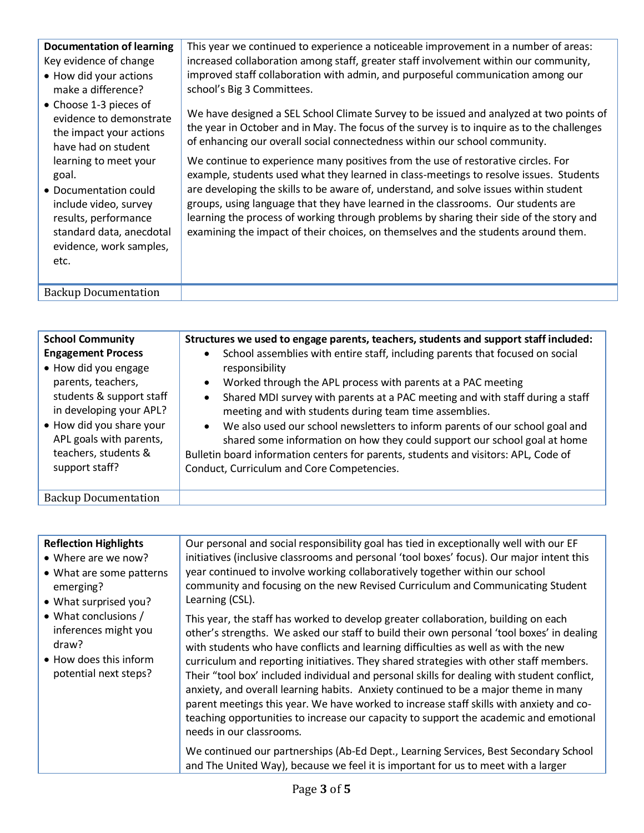| <b>Documentation of learning</b><br>Key evidence of change<br>• How did your actions<br>make a difference?<br>• Choose 1-3 pieces of<br>evidence to demonstrate<br>the impact your actions<br>have had on student<br>learning to meet your<br>goal. | This year we continued to experience a noticeable improvement in a number of areas:<br>increased collaboration among staff, greater staff involvement within our community,<br>improved staff collaboration with admin, and purposeful communication among our<br>school's Big 3 Committees.<br>We have designed a SEL School Climate Survey to be issued and analyzed at two points of<br>the year in October and in May. The focus of the survey is to inquire as to the challenges<br>of enhancing our overall social connectedness within our school community.<br>We continue to experience many positives from the use of restorative circles. For<br>example, students used what they learned in class-meetings to resolve issues. Students |
|-----------------------------------------------------------------------------------------------------------------------------------------------------------------------------------------------------------------------------------------------------|----------------------------------------------------------------------------------------------------------------------------------------------------------------------------------------------------------------------------------------------------------------------------------------------------------------------------------------------------------------------------------------------------------------------------------------------------------------------------------------------------------------------------------------------------------------------------------------------------------------------------------------------------------------------------------------------------------------------------------------------------|
| • Documentation could<br>include video, survey<br>results, performance<br>standard data, anecdotal<br>evidence, work samples,<br>etc.                                                                                                               | are developing the skills to be aware of, understand, and solve issues within student<br>groups, using language that they have learned in the classrooms. Our students are<br>learning the process of working through problems by sharing their side of the story and<br>examining the impact of their choices, on themselves and the students around them.                                                                                                                                                                                                                                                                                                                                                                                        |
| <b>Backup Documentation</b>                                                                                                                                                                                                                         |                                                                                                                                                                                                                                                                                                                                                                                                                                                                                                                                                                                                                                                                                                                                                    |

| <b>School Community</b><br><b>Engagement Process</b><br>• How did you engage<br>parents, teachers,<br>students & support staff<br>in developing your APL?<br>• How did you share your<br>APL goals with parents,<br>teachers, students &<br>support staff? | Structures we used to engage parents, teachers, students and support staff included:<br>School assemblies with entire staff, including parents that focused on social<br>responsibility<br>Worked through the APL process with parents at a PAC meeting<br>$\bullet$<br>Shared MDI survey with parents at a PAC meeting and with staff during a staff<br>$\bullet$<br>meeting and with students during team time assemblies.<br>We also used our school newsletters to inform parents of our school goal and<br>$\bullet$<br>shared some information on how they could support our school goal at home<br>Bulletin board information centers for parents, students and visitors: APL, Code of<br>Conduct, Curriculum and Core Competencies. |
|------------------------------------------------------------------------------------------------------------------------------------------------------------------------------------------------------------------------------------------------------------|---------------------------------------------------------------------------------------------------------------------------------------------------------------------------------------------------------------------------------------------------------------------------------------------------------------------------------------------------------------------------------------------------------------------------------------------------------------------------------------------------------------------------------------------------------------------------------------------------------------------------------------------------------------------------------------------------------------------------------------------|
| <b>Backup Documentation</b>                                                                                                                                                                                                                                |                                                                                                                                                                                                                                                                                                                                                                                                                                                                                                                                                                                                                                                                                                                                             |

| <b>Reflection Highlights</b><br>• Where are we now?<br>• What are some patterns<br>emerging?<br>• What surprised you?<br>• What conclusions /<br>inferences might you<br>draw?<br>• How does this inform<br>potential next steps? | Our personal and social responsibility goal has tied in exceptionally well with our EF<br>initiatives (inclusive classrooms and personal 'tool boxes' focus). Our major intent this<br>year continued to involve working collaboratively together within our school<br>community and focusing on the new Revised Curriculum and Communicating Student<br>Learning (CSL).                                                                                                                                                                                                                                                                                                                                                                                              |
|-----------------------------------------------------------------------------------------------------------------------------------------------------------------------------------------------------------------------------------|-----------------------------------------------------------------------------------------------------------------------------------------------------------------------------------------------------------------------------------------------------------------------------------------------------------------------------------------------------------------------------------------------------------------------------------------------------------------------------------------------------------------------------------------------------------------------------------------------------------------------------------------------------------------------------------------------------------------------------------------------------------------------|
|                                                                                                                                                                                                                                   | This year, the staff has worked to develop greater collaboration, building on each<br>other's strengths. We asked our staff to build their own personal 'tool boxes' in dealing<br>with students who have conflicts and learning difficulties as well as with the new<br>curriculum and reporting initiatives. They shared strategies with other staff members.<br>Their "tool box' included individual and personal skills for dealing with student conflict,<br>anxiety, and overall learning habits. Anxiety continued to be a major theme in many<br>parent meetings this year. We have worked to increase staff skills with anxiety and co-<br>teaching opportunities to increase our capacity to support the academic and emotional<br>needs in our classrooms. |
|                                                                                                                                                                                                                                   | We continued our partnerships (Ab-Ed Dept., Learning Services, Best Secondary School<br>and The United Way), because we feel it is important for us to meet with a larger                                                                                                                                                                                                                                                                                                                                                                                                                                                                                                                                                                                             |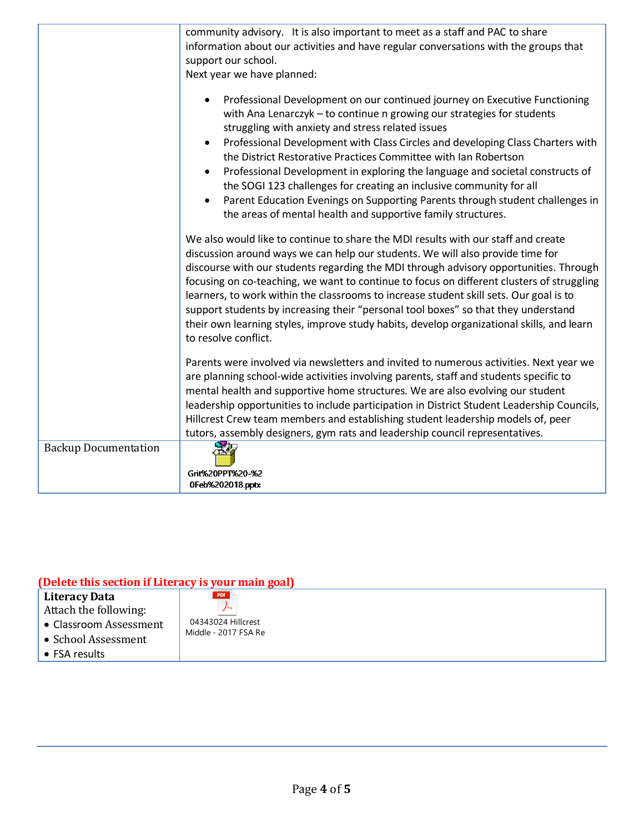|                             | community advisory. It is also important to meet as a staff and PAC to share                                                                                                                                                                                                                                                                                                                                                                                                                                                                                                                                                                                                                                                |  |  |
|-----------------------------|-----------------------------------------------------------------------------------------------------------------------------------------------------------------------------------------------------------------------------------------------------------------------------------------------------------------------------------------------------------------------------------------------------------------------------------------------------------------------------------------------------------------------------------------------------------------------------------------------------------------------------------------------------------------------------------------------------------------------------|--|--|
|                             | information about our activities and have regular conversations with the groups that<br>support our school.                                                                                                                                                                                                                                                                                                                                                                                                                                                                                                                                                                                                                 |  |  |
|                             |                                                                                                                                                                                                                                                                                                                                                                                                                                                                                                                                                                                                                                                                                                                             |  |  |
|                             | Next year we have planned:                                                                                                                                                                                                                                                                                                                                                                                                                                                                                                                                                                                                                                                                                                  |  |  |
|                             | Professional Development on our continued journey on Executive Functioning<br>$\bullet$<br>with Ana Lenarczyk - to continue n growing our strategies for students<br>struggling with anxiety and stress related issues<br>Professional Development with Class Circles and developing Class Charters with<br>$\bullet$<br>the District Restorative Practices Committee with Ian Robertson<br>Professional Development in exploring the language and societal constructs of<br>$\bullet$<br>the SOGI 123 challenges for creating an inclusive community for all<br>Parent Education Evenings on Supporting Parents through student challenges in<br>$\bullet$<br>the areas of mental health and supportive family structures. |  |  |
|                             | We also would like to continue to share the MDI results with our staff and create<br>discussion around ways we can help our students. We will also provide time for<br>discourse with our students regarding the MDI through advisory opportunities. Through<br>focusing on co-teaching, we want to continue to focus on different clusters of struggling<br>learners, to work within the classrooms to increase student skill sets. Our goal is to<br>support students by increasing their "personal tool boxes" so that they understand<br>their own learning styles, improve study habits, develop organizational skills, and learn<br>to resolve conflict.                                                              |  |  |
|                             | Parents were involved via newsletters and invited to numerous activities. Next year we<br>are planning school-wide activities involving parents, staff and students specific to<br>mental health and supportive home structures. We are also evolving our student<br>leadership opportunities to include participation in District Student Leadership Councils,<br>Hillcrest Crew team members and establishing student leadership models of, peer<br>tutors, assembly designers, gym rats and leadership council representatives.                                                                                                                                                                                          |  |  |
| <b>Backup Documentation</b> | Grit%20PPT%20-%2<br>0Feb%202018.pptx                                                                                                                                                                                                                                                                                                                                                                                                                                                                                                                                                                                                                                                                                        |  |  |

## **(Delete this section if Literacy is your main goal)**

| Literacy Data          | PDF                  |
|------------------------|----------------------|
| Attach the following:  |                      |
| • Classroom Assessment | 04343024 Hillcrest   |
| • School Assessment    | Middle - 2017 FSA Re |
| $\bullet$ FSA results  |                      |